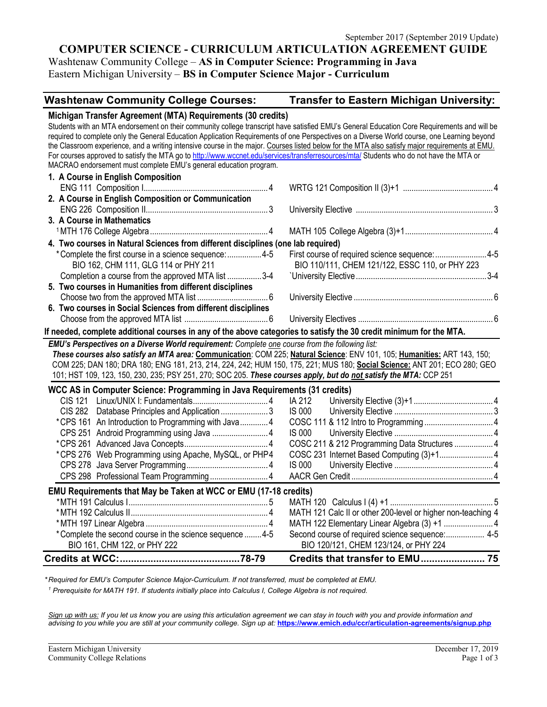## **COMPUTER SCIENCE - CURRICULUM ARTICULATION AGREEMENT GUIDE**

Washtenaw Community College – **AS in Computer Science: Programming in Java** Eastern Michigan University – **BS in Computer Science Major - Curriculum**

# **Washtenaw Community College Courses: Transfer to Eastern Michigan University:**

| Michigan Transfer Agreement (MTA) Requirements (30 credits)                                                                                                                                                                                                                                |                                                                                                              |
|--------------------------------------------------------------------------------------------------------------------------------------------------------------------------------------------------------------------------------------------------------------------------------------------|--------------------------------------------------------------------------------------------------------------|
| Students with an MTA endorsement on their community college transcript have satisfied EMU's General Education Core Requirements and will be<br>required to complete only the General Education Application Requirements of one Perspectives on a Diverse World course, one Learning beyond |                                                                                                              |
| the Classroom experience, and a writing intensive course in the major. Courses listed below for the MTA also satisfy major requirements at EMU.                                                                                                                                            |                                                                                                              |
| For courses approved to satisfy the MTA go to http://www.wccnet.edu/services/transferresources/mta/ Students who do not have the MTA or                                                                                                                                                    |                                                                                                              |
| MACRAO endorsement must complete EMU's general education program.                                                                                                                                                                                                                          |                                                                                                              |
| 1. A Course in English Composition                                                                                                                                                                                                                                                         |                                                                                                              |
|                                                                                                                                                                                                                                                                                            |                                                                                                              |
| 2. A Course in English Composition or Communication                                                                                                                                                                                                                                        |                                                                                                              |
|                                                                                                                                                                                                                                                                                            |                                                                                                              |
| 3. A Course in Mathematics                                                                                                                                                                                                                                                                 |                                                                                                              |
|                                                                                                                                                                                                                                                                                            |                                                                                                              |
| 4. Two courses in Natural Sciences from different disciplines (one lab required)                                                                                                                                                                                                           |                                                                                                              |
| *Complete the first course in a science sequence:  4-5                                                                                                                                                                                                                                     | First course of required science sequence:4-5                                                                |
| BIO 162, CHM 111, GLG 114 or PHY 211                                                                                                                                                                                                                                                       | BIO 110/111, CHEM 121/122, ESSC 110, or PHY 223                                                              |
| Completion a course from the approved MTA list 3-4                                                                                                                                                                                                                                         |                                                                                                              |
| 5. Two courses in Humanities from different disciplines                                                                                                                                                                                                                                    |                                                                                                              |
|                                                                                                                                                                                                                                                                                            |                                                                                                              |
| 6. Two courses in Social Sciences from different disciplines                                                                                                                                                                                                                               |                                                                                                              |
|                                                                                                                                                                                                                                                                                            |                                                                                                              |
| If needed, complete additional courses in any of the above categories to satisfy the 30 credit minimum for the MTA.                                                                                                                                                                        |                                                                                                              |
|                                                                                                                                                                                                                                                                                            |                                                                                                              |
| EMU's Perspectives on a Diverse World requirement: Complete one course from the following list:                                                                                                                                                                                            |                                                                                                              |
| These courses also satisfy an MTA area: Communication: COM 225; Natural Science: ENV 101, 105; Humanities: ART 143, 150;                                                                                                                                                                   |                                                                                                              |
| COM 225; DAN 180; DRA 180; ENG 181, 213, 214, 224, 242; HUM 150, 175, 221; MUS 180; Social Science: ANT 201; ECO 280; GEO                                                                                                                                                                  |                                                                                                              |
| 101; HST 109, 123, 150, 230, 235; PSY 251, 270; SOC 205. These courses apply, but do not satisfy the MTA: CCP 251                                                                                                                                                                          |                                                                                                              |
|                                                                                                                                                                                                                                                                                            |                                                                                                              |
| WCC AS in Computer Science: Programming in Java Requirements (31 credits)<br><b>CIS 121</b>                                                                                                                                                                                                | IA 212                                                                                                       |
|                                                                                                                                                                                                                                                                                            | <b>IS 000</b>                                                                                                |
| CIS 282 Database Principles and Application 3                                                                                                                                                                                                                                              |                                                                                                              |
| *CPS 161 An Introduction to Programming with Java4                                                                                                                                                                                                                                         | <b>IS 000</b>                                                                                                |
| CPS 251 Android Programming using Java  4                                                                                                                                                                                                                                                  | COSC 211 & 212 Programming Data Structures  4                                                                |
| *CPS 276 Web Programming using Apache, MySQL, or PHP4                                                                                                                                                                                                                                      |                                                                                                              |
|                                                                                                                                                                                                                                                                                            | <b>IS 000</b>                                                                                                |
| CPS 298 Professional Team Programming 4                                                                                                                                                                                                                                                    |                                                                                                              |
|                                                                                                                                                                                                                                                                                            |                                                                                                              |
| EMU Requirements that May be Taken at WCC or EMU (17-18 credits)                                                                                                                                                                                                                           |                                                                                                              |
|                                                                                                                                                                                                                                                                                            |                                                                                                              |
|                                                                                                                                                                                                                                                                                            | MATH 121 Calc II or other 200-level or higher non-teaching 4<br>MATH 122 Elementary Linear Algebra (3) +1  4 |
| *Complete the second course in the science sequence 4-5                                                                                                                                                                                                                                    | Second course of required science sequence: 4-5                                                              |
| BIO 161, CHM 122, or PHY 222                                                                                                                                                                                                                                                               | BIO 120/121, CHEM 123/124, or PHY 224                                                                        |

*\* Required for EMU's Computer Science Major-Curriculum. If not transferred, must be completed at EMU.* 

*<sup>1</sup> Prerequisite for MATH 191. If students initially place into Calculus I, College Algebra is not required.*

*Sign up with us: If you let us know you are using this articulation agreement we can stay in touch with you and provide information and advising to you while you are still at your community college. Sign up at:* **<https://www.emich.edu/ccr/articulation-agreements/signup.php>**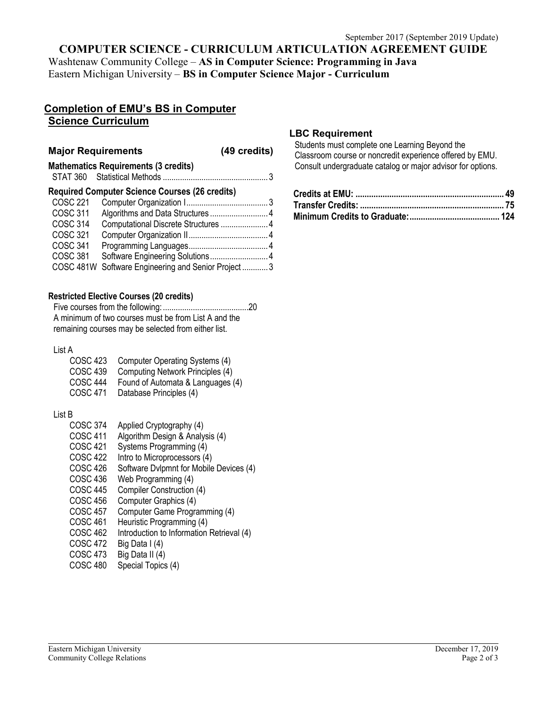### **COMPUTER SCIENCE - CURRICULUM ARTICULATION AGREEMENT GUIDE**

Washtenaw Community College – **AS in Computer Science: Programming in Java** Eastern Michigan University – **BS in Computer Science Major - Curriculum**

## **Completion of EMU's BS in Computer Science Curriculum**

#### **Major Requirements (49 credits)**

**Mathematics Requirements (3 credits)** STAT 360 Statistical Methods ................................................. 3

#### **Required Computer Science Courses (26 credits)**

| COSC 221        |                                                    |  |
|-----------------|----------------------------------------------------|--|
| COSC 311        | Algorithms and Data Structures 4                   |  |
| <b>COSC 314</b> | Computational Discrete Structures  4               |  |
| COSC 321        |                                                    |  |
| COSC 341        |                                                    |  |
| COSC 381        | Software Engineering Solutions 4                   |  |
|                 | COSC 481W Software Engineering and Senior Project3 |  |
|                 |                                                    |  |

#### **Restricted Elective Courses (20 credits)**

Five courses from the following:........................................20 A minimum of two courses must be from List A and the remaining courses may be selected from either list.

#### List A

| COSC 423        | Computer Operating Systems (4)    |
|-----------------|-----------------------------------|
| <b>COSC 439</b> | Computing Network Principles (4)  |
| COSC 444        | Found of Automata & Languages (4) |
| COSC 471        | Database Principles (4)           |

### List B

- COSC 374 Applied Cryptography (4)
- COSC 411 Algorithm Design & Analysis (4)<br>COSC 421 Systems Programming (4)
- Systems Programming (4)
- COSC 422 Intro to Microprocessors (4)<br>COSC 426 Software Dylpmnt for Mobile
- Software Dvlpmnt for Mobile Devices (4)
- COSC 436 Web Programming (4)
- COSC 445 Compiler Construction (4)
- COSC 456 Computer Graphics (4)
- COSC 457 Computer Game Programming (4)
- COSC 461 Heuristic Programming (4)
- COSC 462 Introduction to Information Retrieval (4)
- 
- COSC 472 Big Data I (4)<br>COSC 473 Big Data II (4) Big Data II (4)
- COSC 480 Special Topics (4)

### **LBC Requirement**

Students must complete one Learning Beyond the Classroom course or noncredit experience offered by EMU. Consult undergraduate catalog or major advisor for options.